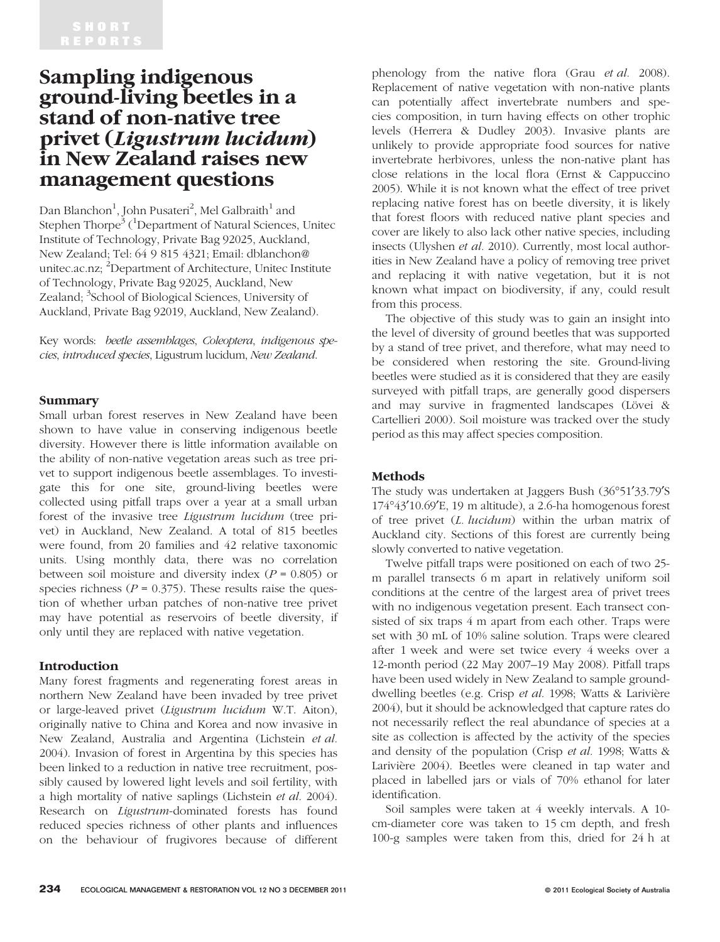# Sampling indigenous ground-living beetles in a stand of non-native tree privet (Ligustrum lucidum) in New Zealand raises new management questions

Dan Blanchon $^1$ , John Pusateri $^2$ , Mel Galbraith $^1$  and Stephen Thorpe $\rm ^3$  ( $\rm ^1$ Department of Natural Sciences, Unitec Institute of Technology, Private Bag 92025, Auckland, New Zealand; Tel: 64 9 815 4321; Email: dblanchon@ unitec.ac.nz; <sup>2</sup>Department of Architecture, Unitec Institute of Technology, Private Bag 92025, Auckland, New Zealand; <sup>3</sup>School of Biological Sciences, University of Auckland, Private Bag 92019, Auckland, New Zealand).

Key words: beetle assemblages, Coleoptera, indigenous species, introduced species, Ligustrum lucidum, New Zealand.

#### Summary

Small urban forest reserves in New Zealand have been shown to have value in conserving indigenous beetle diversity. However there is little information available on the ability of non-native vegetation areas such as tree privet to support indigenous beetle assemblages. To investigate this for one site, ground-living beetles were collected using pitfall traps over a year at a small urban forest of the invasive tree Ligustrum lucidum (tree privet) in Auckland, New Zealand. A total of 815 beetles were found, from 20 families and 42 relative taxonomic units. Using monthly data, there was no correlation between soil moisture and diversity index  $(P = 0.805)$  or species richness ( $P = 0.375$ ). These results raise the question of whether urban patches of non-native tree privet may have potential as reservoirs of beetle diversity, if only until they are replaced with native vegetation.

# Introduction

Many forest fragments and regenerating forest areas in northern New Zealand have been invaded by tree privet or large-leaved privet (Ligustrum lucidum W.T. Aiton), originally native to China and Korea and now invasive in New Zealand, Australia and Argentina (Lichstein et al. 2004). Invasion of forest in Argentina by this species has been linked to a reduction in native tree recruitment, possibly caused by lowered light levels and soil fertility, with a high mortality of native saplings (Lichstein et al. 2004). Research on Ligustrum-dominated forests has found reduced species richness of other plants and influences on the behaviour of frugivores because of different phenology from the native flora (Grau et al. 2008). Replacement of native vegetation with non-native plants can potentially affect invertebrate numbers and species composition, in turn having effects on other trophic levels (Herrera & Dudley 2003). Invasive plants are unlikely to provide appropriate food sources for native invertebrate herbivores, unless the non-native plant has close relations in the local flora (Ernst & Cappuccino 2005). While it is not known what the effect of tree privet replacing native forest has on beetle diversity, it is likely that forest floors with reduced native plant species and cover are likely to also lack other native species, including insects (Ulyshen et al. 2010). Currently, most local authorities in New Zealand have a policy of removing tree privet and replacing it with native vegetation, but it is not known what impact on biodiversity, if any, could result from this process.

The objective of this study was to gain an insight into the level of diversity of ground beetles that was supported by a stand of tree privet, and therefore, what may need to be considered when restoring the site. Ground-living beetles were studied as it is considered that they are easily surveyed with pitfall traps, are generally good dispersers and may survive in fragmented landscapes (Lövei & Cartellieri 2000). Soil moisture was tracked over the study period as this may affect species composition.

# Methods

The study was undertaken at Jaggers Bush (36°51'33.79'S 17443¢10.69¢E, 19 m altitude), a 2.6-ha homogenous forest of tree privet (L. lucidum) within the urban matrix of Auckland city. Sections of this forest are currently being slowly converted to native vegetation.

Twelve pitfall traps were positioned on each of two 25 m parallel transects 6 m apart in relatively uniform soil conditions at the centre of the largest area of privet trees with no indigenous vegetation present. Each transect consisted of six traps 4 m apart from each other. Traps were set with 30 mL of 10% saline solution. Traps were cleared after 1 week and were set twice every 4 weeks over a 12-month period (22 May 2007–19 May 2008). Pitfall traps have been used widely in New Zealand to sample grounddwelling beetles (e.g. Crisp et al. 1998; Watts & Larivière 2004), but it should be acknowledged that capture rates do not necessarily reflect the real abundance of species at a site as collection is affected by the activity of the species and density of the population (Crisp et al. 1998; Watts & Larivière 2004). Beetles were cleaned in tap water and placed in labelled jars or vials of 70% ethanol for later identification.

Soil samples were taken at 4 weekly intervals. A 10 cm-diameter core was taken to 15 cm depth, and fresh 100-g samples were taken from this, dried for 24 h at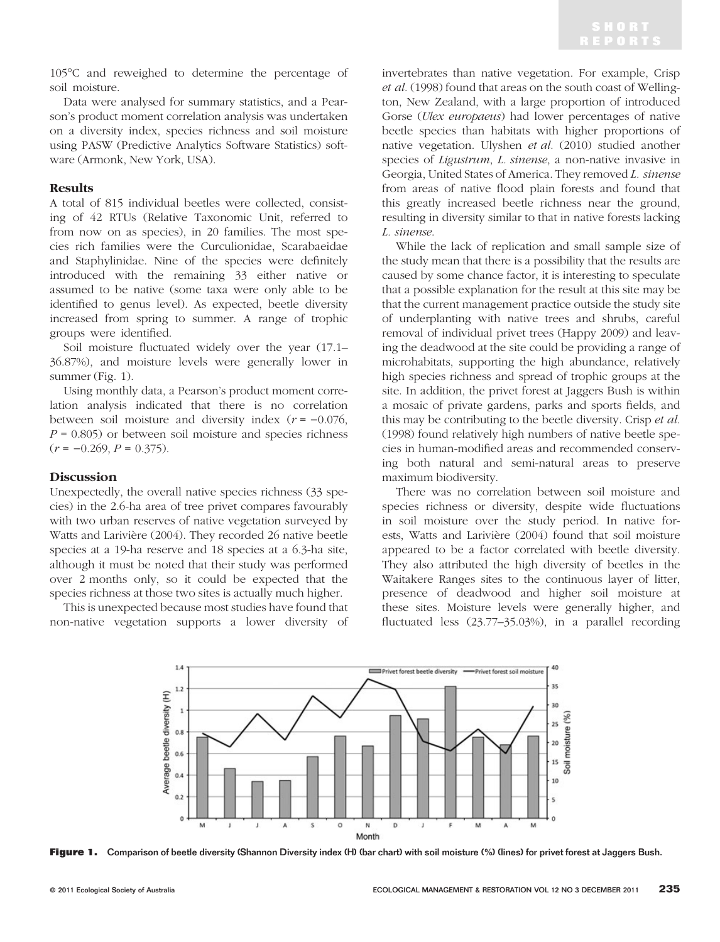105C and reweighed to determine the percentage of soil moisture.

Data were analysed for summary statistics, and a Pearson's product moment correlation analysis was undertaken on a diversity index, species richness and soil moisture using PASW (Predictive Analytics Software Statistics) software (Armonk, New York, USA).

# Results

A total of 815 individual beetles were collected, consisting of 42 RTUs (Relative Taxonomic Unit, referred to from now on as species), in 20 families. The most species rich families were the Curculionidae, Scarabaeidae and Staphylinidae. Nine of the species were definitely introduced with the remaining 33 either native or assumed to be native (some taxa were only able to be identified to genus level). As expected, beetle diversity increased from spring to summer. A range of trophic groups were identified.

Soil moisture fluctuated widely over the year (17.1– 36.87%), and moisture levels were generally lower in summer (Fig. 1).

Using monthly data, a Pearson's product moment correlation analysis indicated that there is no correlation between soil moisture and diversity index  $(r = -0.076,$  $P = 0.805$ ) or between soil moisture and species richness  $(r = -0.269, P = 0.375).$ 

# Discussion

Unexpectedly, the overall native species richness (33 species) in the 2.6-ha area of tree privet compares favourably with two urban reserves of native vegetation surveyed by Watts and Larivière (2004). They recorded 26 native beetle species at a 19-ha reserve and 18 species at a 6.3-ha site, although it must be noted that their study was performed over 2 months only, so it could be expected that the species richness at those two sites is actually much higher.

This is unexpected because most studies have found that non-native vegetation supports a lower diversity of invertebrates than native vegetation. For example, Crisp et al. (1998) found that areas on the south coast of Wellington, New Zealand, with a large proportion of introduced Gorse (Ulex europaeus) had lower percentages of native beetle species than habitats with higher proportions of native vegetation. Ulyshen et al. (2010) studied another species of Ligustrum, L. sinense, a non-native invasive in Georgia, United States of America. They removed L. sinense from areas of native flood plain forests and found that this greatly increased beetle richness near the ground, resulting in diversity similar to that in native forests lacking L. sinense.

While the lack of replication and small sample size of the study mean that there is a possibility that the results are caused by some chance factor, it is interesting to speculate that a possible explanation for the result at this site may be that the current management practice outside the study site of underplanting with native trees and shrubs, careful removal of individual privet trees (Happy 2009) and leaving the deadwood at the site could be providing a range of microhabitats, supporting the high abundance, relatively high species richness and spread of trophic groups at the site. In addition, the privet forest at Jaggers Bush is within a mosaic of private gardens, parks and sports fields, and this may be contributing to the beetle diversity. Crisp et al. (1998) found relatively high numbers of native beetle species in human-modified areas and recommended conserving both natural and semi-natural areas to preserve maximum biodiversity.

There was no correlation between soil moisture and species richness or diversity, despite wide fluctuations in soil moisture over the study period. In native forests, Watts and Larivière (2004) found that soil moisture appeared to be a factor correlated with beetle diversity. They also attributed the high diversity of beetles in the Waitakere Ranges sites to the continuous layer of litter, presence of deadwood and higher soil moisture at these sites. Moisture levels were generally higher, and fluctuated less (23.77–35.03%), in a parallel recording



Figure 1. Comparison of beetle diversity (Shannon Diversity index (H) (bar chart) with soil moisture (%) (lines) for privet forest at Jaggers Bush.